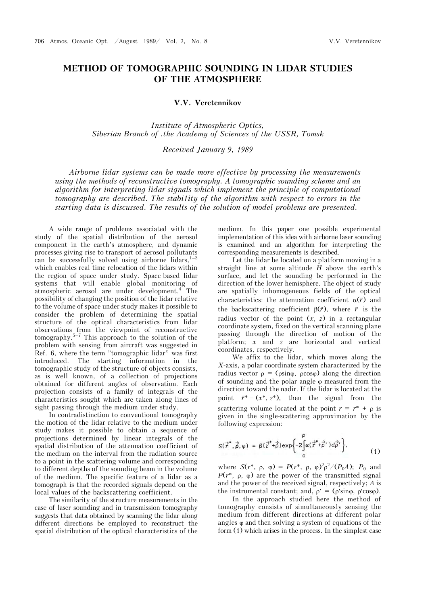## **METHOD OF TOMOGRAPHIC SOUNDING IN LIDAR STUDIES OF THE ATMOSPHERE**

## **V.V. Veretennikov**

*Institute of Atmospheric Optics, Siberian Branch of .the Academy of Sciences of the USSR, Tomsk* 

## *Received January 9, 1989*

*Airborne lidar systems can be made more effective by processing the measurements using the methods of reconstructive tomography. A tomographic sounding scheme and an algorithm for interpreting lidar signals which implement the principle of computational tomography are described. The stabi1ity of the algorithm with respect to errors in the starting data is discussed. The results of the solution of model problems are presented.*

A wide range of problems associated with the study of the spatial distribution of the aerosol component in the earth's atmosphere, and dynamic processes giving rise to transport of aerosol pollutants can be successfully solved using airborne lidars,  $1-3$ which enables real-time relocation of the lidars within the region of space under study. Space-based lidar systems that will enable global monitoring of atmospheric aerosol are under development.<sup>4</sup> The possibility of changing the position of the lidar relative to the volume of space under study makes it possible to consider the problem of determining the spatial structure of the optical characteristics from lidar observations from the viewpoint of reconstructive tomography.<sup>5–7</sup> This approach to the solution of the problem with sensing from aircraft was suggested in Ref. 6, where the term "tomographic lidar" was first introduced. The starting information in the tomographic study of the structure of objects consists, as is well known, of a collection of projections obtained for different angles of observation. Each projection consists of a family of integrals of the characteristics sought which are taken along lines of sight passing through the medium under study.

In contradistinction to conventional tomography the motion of the lidar relative to the medium under study makes it possible to obtain a sequence of projections determined by linear integrals of the spatial distribution of the attenuation coefficient of the medium on the interval from the radiation source to a point in the scattering volume and corresponding to different depths of the sounding beam in the volume of the medium. The specific feature of a lidar as a tomograph is that the recorded signals depend on the local values of the backscattering coefficient.

The similarity of the structure measurements in the case of laser sounding and in transmission tomography suggests that data obtained by scanning the lidar along different directions be employed to reconstruct the spatial distribution of the optical characteristics of the medium. In this paper one possible experimental implementation of this idea with airborne laser sounding is examined and an algorithm for interpreting the corresponding measurements is described.

Let the lidar be located on a platform moving in a straight line at some altitude *H* above the earth's surface, and let the sounding be performed in the direction of the lower hemisphere. The object of study are spatially inhomogeneous fields of the optical characteristics: the attenuation coefficient  $\alpha(\vec{r})$  and the backscattering coefficient  $\beta(\vec{r})$ , where  $\vec{r}$  is the radius vector of the point  $(x, z)$  in a rectangular coordinate system, fixed on the vertical scanning plane passing through the direction of motion of the platform; *x* and *z* are horizontal and vertical coordinates, respectively.

We affix to the lidar, which moves along the *X*-axis, a polar coordinate system characterized by the radius vector  $\rho = (\rho \sin \varphi, \rho \cos \varphi)$  along the direction of sounding and the polar angle  $\varphi$  measured from the direction toward the nadir. If the lidar is located at the point  $\vec{r}$ <sup>\*</sup> =  $(x^*, z^*)$ , then the signal from the scattering volume located at the point  $r = r^* + \rho$  is given in the single-scattering approximation by the following expression:

$$
S(\vec{r}^*, \vec{\rho}, \varphi) = \beta(\vec{r}^* + \vec{\rho}) \exp\left\{-2\int_{0}^{\infty} \alpha(\vec{r}^* + \vec{\rho}') d\vec{\rho}'\right\},\tag{1}
$$

where  $S(r^*, \rho, \varphi) = P(r^*, \rho, \varphi)^2 \rho^2 / (P_0 A); P_0$  and  $P(r^*, \rho, \varphi)$  are the power of the transmitted signal and the power of the received signal, respectively; *A* is the instrumental constant; and,  $\rho' = (\rho' \sin \varphi, \rho' \cos \varphi)$ .

In the approach studied here the method of tomography consists of simultaneously sensing the medium from different directions at different polar angles  $\varphi$  and then solving a system of equations of the form (1) which arises in the process. In the simplest case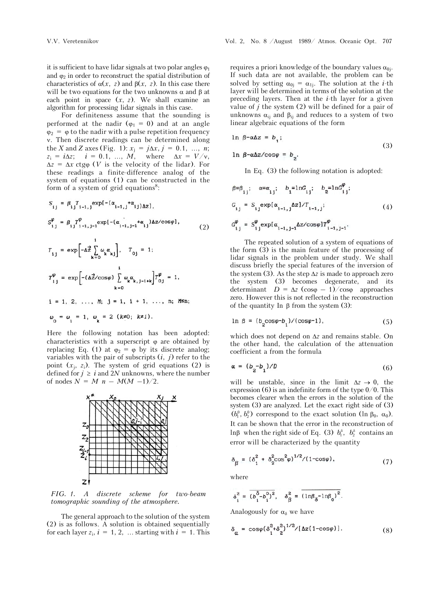it is sufficient to have lidar signals at two polar angles  $\varphi_1$ and  $\varphi$  in order to reconstruct the spatial distribution of characteristics of  $\alpha(x, z)$  and  $\beta(x, z)$ . In this case there will be two equations for the two unknowns  $\alpha$  and  $\beta$  at each point in space  $(x, z)$ . We shall examine an algorithm for processing lidar signals in this case.

For definiteness assume that the sounding is performed at the nadir  $(\varphi_1 = 0)$  and at an angle  $\varphi_2 = \varphi$  to the nadir with a pulse repetition frequency . Then discrete readings can be determined along the *X* and *Z* axes (Fig. 1):  $x_i = j\Delta x, j = 0.1, ..., n$ ;  $z_i = i\Delta z$ ;  $i = 0.1$ , ...,  $M$ , where  $\Delta x = V/v$ ,  $\Delta z = \Delta x$  ctgo (*V* is the velocity of the lidar). For these readings a finite-difference analog of the system of equations (1) can be constructed in the form of a system of grid equations $8$ :

$$
S_{ij} = \beta_{ij} T_{i-1,j} \exp[-(\alpha_{i-1,j} + \alpha_{ij}) \Delta z],
$$
  
\n
$$
S_{ij}^{\varphi} = \beta_{ij} T_{i-1,j-1}^{\varphi} \exp[-(\alpha_{i-1,j-1} + \alpha_{ij}) \Delta z / \cos \varphi],
$$
  
\n
$$
T_{ij} = \exp\left[-\Delta \frac{1}{z} \sum_{k=0}^{i} \omega_k \alpha_{kj}\right], \quad T_{0j} = 1;
$$
  
\n
$$
T_{ij}^{\varphi} = \exp\left[-(\Delta \frac{2}{z} / \cos \varphi) \sum_{k=0}^{i} \omega_k \alpha_{k,j-1+k}\right] T_{0j}^{\varphi} = 1,
$$
  
\n
$$
i = 1, 2, ..., N; j = i, i + 1, ..., n; M \le n;
$$
  
\n
$$
\omega_0 = \omega_i = 1, \quad \omega_k = 2 \quad (k \neq 0; k \neq i).
$$
 (2)

Here the following notation has been adopted: characteristics with a superscript  $\varphi$  are obtained by replacing Eq. (1) at  $\varphi_2 = \varphi$  by its discrete analog; variables with the pair of subscripts  $(i, j)$  refer to the point  $(x_i, z_i)$ . The system of grid equations (2) is defined for  $j \geq i$  and 2*N* unknowns, where the number of nodes  $N = M n - M(M -1)/2$ .



*FIG. 1. A discrete scheme for two-beam tomographic sounding of the atmosphere.*

The general approach to the solution of the system (2) is as follows. A solution is obtained sequentially for each layer  $z_i$ ,  $i = 1, 2, \ldots$  starting with  $i = 1$ . This

requires a priori knowledge of the boundary values  $\alpha_{0i}$ . If such data are not available, the problem can be solved by setting  $\alpha_{0i} = \alpha_{1i}$ . The solution at the *i*-th layer will be determined in terms of the solution at the preceding layers. Then at the *i*-th layer for a given value of *j* the system (2) will be defined for a pair of unknowns  $\alpha_{ij}$  and  $\beta_{ij}$  and reduces to a system of two linear algebraic equations of the form

$$
\ln \beta - \alpha \Delta z = b_{1}; \tag{3}
$$

$$
\ln \beta - \alpha \Delta z / \cos \varphi = b_0.
$$

In Eq. (3) the following notation is adopted:

$$
\beta = \beta_{i,j}; \quad \alpha = \alpha_{i,j}; \quad b_1 = \ln G_{i,j}; \quad b_2 = \ln G_{i,j}^{\varphi};
$$
  
\n
$$
G_{i,j} = S_{i,j} \exp[\alpha_{i-1,j} \Delta z] / T_{i-1,j};
$$
  
\n
$$
G_{i,j}^{\varphi} = S_{i,j}^{\varphi} \exp[\alpha_{i-1,j-1} \Delta z / \cos \varphi] T_{i-1,j-1}^{\varphi}.
$$
  
\n(4)

The repeated solution of a system of equations of the form  $(3)$  is the main feature of the processing of lidar signals in the problem under study. We shall discuss briefly the special features of the inversion of the system (3). As the step  $\Delta z$  is made to approach zero the system (3) becomes degenerate, and its determinant  $D = \Delta z$  (cos $\varphi$  – 1)/cos $\varphi$  approaches zero. However this is not reflected in the reconstruction of the quantity In  $\beta$  from the system (3):

$$
\ln \beta = (b_2 \cos \varphi - b_1) / (\cos \varphi - 1), \tag{5}
$$

which does not depend on  $\Delta z$  and remains stable. On the other hand, the calculation of the attenuation coefficient a from the formula

$$
\alpha = (b_2 - b_1)/D \tag{6}
$$

will be unstable, since in the limit  $\Delta z \rightarrow 0$ , the expression (6) is an indefinite form of the type  $0/0$ . This becomes clearer when the errors in the solution of the system  $(3)$  are analyzed. Let the exact right side of  $(3)$  $(b_1^0, b_2^0)$  correspond to the exact solution (ln  $\beta_0$ ,  $\alpha_0$ ). It can be shown that the error in the reconstruction of ln $\beta$  when the right side of Eq. (3)  $b_1^{\delta}$ ,  $b_2^{\delta}$  contains an error will be characterized by the quantity

$$
\delta_{\beta} = (\delta_1^2 + \delta_2^2 \cos^2 \varphi)^{1/2} / (1 - \cos \varphi), \tag{7}
$$

where

$$
\delta_i^2 = \overline{(b_i^{\delta} - b_i^0)^2}, \quad \delta_{\beta}^2 = \overline{(ln\beta_{\delta} - ln\beta_0)^2}.
$$

Analogously for  $\alpha_{\delta}$  we have

$$
\delta_{\alpha} = \cos\varphi (\delta_1^2 + \delta_2^2)^{1/2} / [\Delta z (1 - \cos\varphi)]. \tag{8}
$$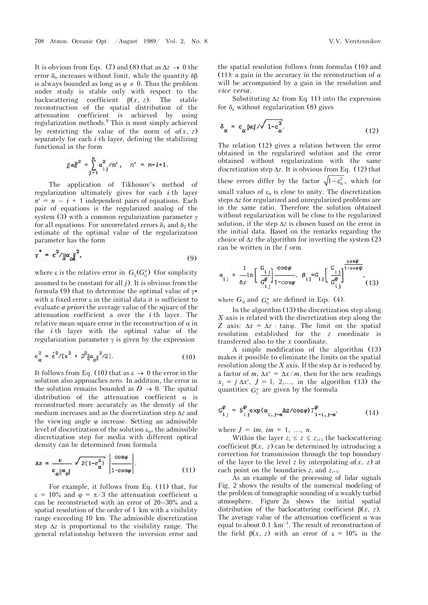It is obvious from Eqs. (7) and (8) that as  $\Delta z \rightarrow 0$  the error  $\delta_{\alpha}$  increases without limit, while the quantity  $\delta \beta$ is always bounded as long as  $\varphi \neq 0$ . Thus the problem under study is stable only with respect to the backscattering coefficient  $\beta(x, z)$ . The stable reconstruction of the spatial distribution of the attenuation coefficient is achieved by using regularization methods.<sup>9</sup> This is most simply achieved by restricting the value of the norm of  $\alpha(x, z)$ separately for each *i*-th layer, defining the stabilizing functional in the form

$$
||\alpha||^2 = \sum_{j=1}^n \alpha_{ij}^2 / n', \quad n' = n-i+1.
$$

The application of Tikhonov's method of regularization ultimately gives for each *i*-th layer  $n' = n - i + 1$  independent pairs of equations. Each pair of equations is the regularized analog of the system (3) with a common regularization parameter  $\gamma$ for all equations. For uncorrelated errors  $\delta_1$  and  $\delta_2$  the estimate of the optimal value of the regularization parameter has the form

$$
\gamma^* = \varepsilon^2 / \|\alpha_0\|^2,\tag{9}
$$

where  $\varepsilon$  is the relative error in  $G_{\scriptscriptstyle{\text{ii}}} (G_{\scriptscriptstyle{\text{ii}}}^{\scriptscriptstyle{\text{e}}})$  (for simplicity assumed to be constant for all *j*). It is obvious from the formula (9) that to determine the optimal value of  $\gamma^*$ with a fixed error  $\varepsilon$  in the initial data it is sufficient to evaluate *a priori* the average value of the square of the attenuation coefficient a over the *i*-th layer. The relative mean-square error in the reconstruction of  $\alpha$  in the *i*-th layer with the optimal value of the regularization parameter  $\gamma$  is given by the expression

$$
\varepsilon_{\alpha}^{2} = \dot{\varepsilon}^{2} / [\varepsilon^{2} + D^{2} ||\alpha_{0}||^{2} / 2]. \qquad (10)
$$

It follows from Eq. (10) that as  $\varepsilon \to 0$  the error in the solution also approaches zero. In addition, the error in the solution remains bounded as  $D \rightarrow 0$ . The spatial distribution of the attenuation coefficient  $\alpha$  is reconstructed more accurately as the density of the medium increases and as the discretization step  $\Delta z$  and the viewing angle  $\varphi$  increase. Setting an admissible level of discretization of the solution  $\varepsilon_{\alpha}$ , the admissible discretization step for media with different optical density can be determined from formula

$$
\Delta z = \frac{\varepsilon}{\varepsilon_{\alpha} \|\alpha_{\text{o}}\|} \sqrt{2(1-\varepsilon_{\alpha}^2)} \left| \frac{\cos \varphi}{1-\cos \varphi} \right|.
$$
 (11)

For example, it follows from Eq. (11) that, for  $\varepsilon = 10\%$  and  $\varphi = \pi/3$  the attenuation coefficient  $\alpha$ can be reconstructed with an error of 20–30% and a spatial resolution of the order of 1 km with a visibility range exceeding 10 km. The admissible discretization step  $\Delta z$  is proportional to the visibility range. The general relationship between the inversion error and

the spatial resolution follows from formulas (10) and (11): a gain in the accuracy in the reconstruction of  $\alpha$ will be accompanied by a gain in the resolution and *vice versa*.

Substituting  $\Delta z$  from Eq 11) into the expression for  $\delta$ <sub>a</sub> without regularization (8) gives

$$
\delta_{\alpha} = \varepsilon_{\alpha} \|\alpha\| / \sqrt{1 - \varepsilon_{\alpha}^2}.
$$
 (12)

The relation (12) gives a relation between the error obtained in the regularized solution and the error obtained without regularization with the same discretization step  $\Delta z$ . It is obvious from Eq. (12) that these errors differ by the factor  $\sqrt{1 - \varepsilon_{\alpha}^2}$ , which for small values of  $\varepsilon_{\alpha}$  is close to unity. The discretization steps  $\Delta z$  for regularized and unregularized problems are in the same ratio. Therefore the solution obtained without regularization will be close to the regularized solution, if the step  $\Delta z$  is chosen based on the error in the initial data. Based on the remarks regarding the choice of  $\Delta z$  the algorithm for inverting the system (2) can be written in the f orm

$$
\alpha_{ij} = \frac{1}{\Delta z} \ln \left[ \frac{G_{ij}}{G_{ij}^{\varphi}} \right] \frac{\cos \varphi}{1 - \cos \varphi}, \ \beta_{ij} = G_{ij} \left[ \frac{G_{ij}}{G_{ij}^{\varphi}} \right] \frac{\cos \varphi}{1 - \cos \varphi}, \ (13)
$$

where  $G_{ij}$  and  $G_{ii}^{\phi}$  are defined in Eqs. (4).

In the algorithm (13) the discretization step along *X*-axis is related with the discretization step along the *Z* axis:  $\Delta x = \Delta z \cdot \tan \varphi$ . The limit on the spatial resolution established for the *z* coordinate is transferred also to the *x* coordinate.

A simple modification of the algorithm (13) makes it possible to eliminate the limits on the spatial resolution along the *X* axis. If the step  $\Delta x$  is reduced by a factor of *m*,  $\Delta x' = \Delta x / m$ , then for the new readings  $x_i = j \Delta x'$ ,  $J = 1, 2,...$ , in the algorithm (13) the quantities  $G_{ii}^{\phi}$  are given by the formula

$$
G_{i,j}^{\varphi} = S_{i,j}^{\varphi} \exp\{\alpha_{i,j-m} \Delta z / \cos\varphi\} T_{i-1,j-m}^{\varphi}, \qquad (14)
$$

where  $J = im$ ,  $im = 1, ..., n$ .

Within the layer  $z_i \leq z \leq z_{i+1}$  the backscattering coefficient  $\beta(x, z)$  can be determined by introducing a correction for transmission through the top boundary of the layer to the level *z* by interpolating  $\alpha(x, z)$  at each point on the boundaries  $z_i$  and  $z_{i+1}$ .

As an example of the processing of lidar signals Fig. 2 shows the results of the numerical modeling of the problem of tomographic sounding of a weakly turbid atmosphere. Figure 2a shows the initial spatial distribution of the backscattering coefficient  $\beta(x, z)$ . The average value of the attenuation coefficient  $\alpha$  was equal to about  $0.1 \text{ km}^{-1}$ . The result of reconstruction of the field  $\beta(x, z)$  with an error of  $\varepsilon = 10\%$  in the